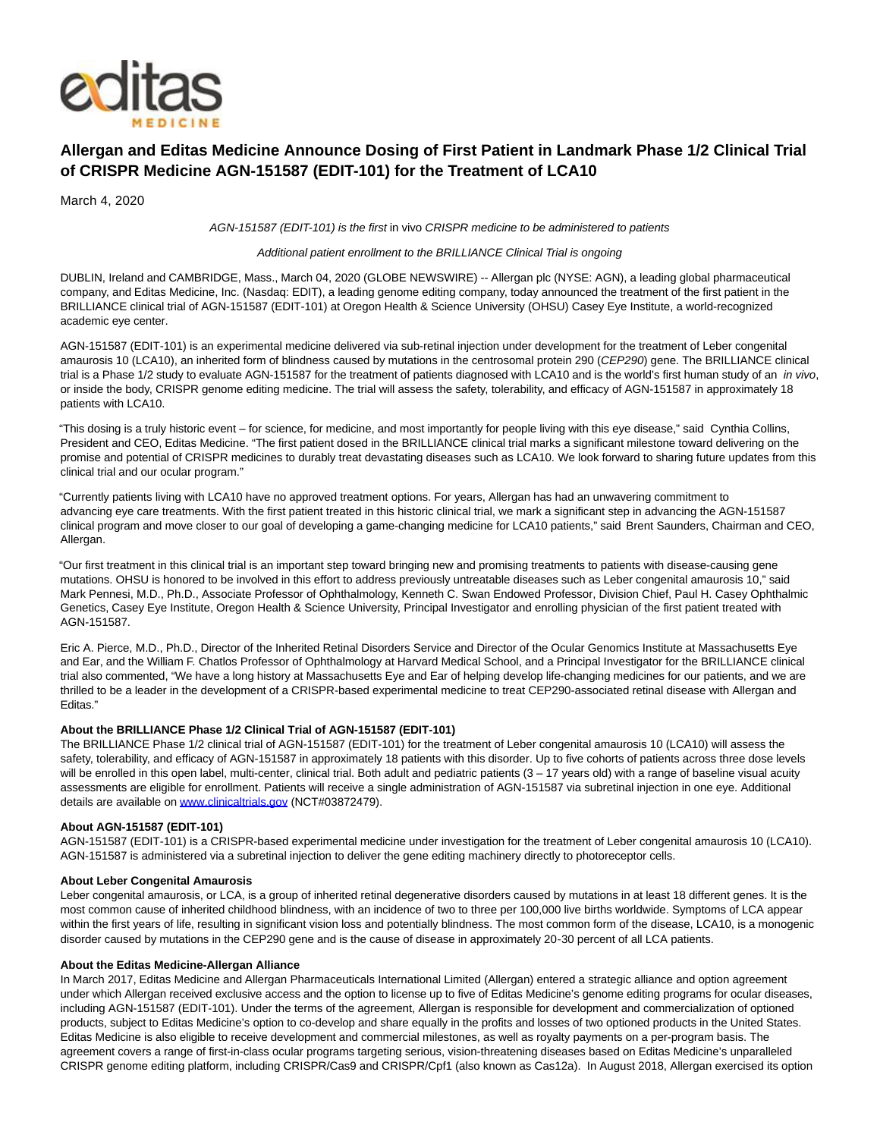

# **Allergan and Editas Medicine Announce Dosing of First Patient in Landmark Phase 1/2 Clinical Trial of CRISPR Medicine AGN-151587 (EDIT-101) for the Treatment of LCA10**

March 4, 2020

AGN-151587 (EDIT-101) is the first in vivo CRISPR medicine to be administered to patients

## Additional patient enrollment to the BRILLIANCE Clinical Trial is ongoing

DUBLIN, Ireland and CAMBRIDGE, Mass., March 04, 2020 (GLOBE NEWSWIRE) -- Allergan plc (NYSE: AGN), a leading global pharmaceutical company, and Editas Medicine, Inc. (Nasdaq: EDIT), a leading genome editing company, today announced the treatment of the first patient in the BRILLIANCE clinical trial of AGN-151587 (EDIT-101) at Oregon Health & Science University (OHSU) Casey Eye Institute, a world-recognized academic eye center.

AGN-151587 (EDIT-101) is an experimental medicine delivered via sub-retinal injection under development for the treatment of Leber congenital amaurosis 10 (LCA10), an inherited form of blindness caused by mutations in the centrosomal protein 290 (CEP290) gene. The BRILLIANCE clinical trial is a Phase 1/2 study to evaluate AGN-151587 for the treatment of patients diagnosed with LCA10 and is the world's first human study of an in vivo, or inside the body, CRISPR genome editing medicine. The trial will assess the safety, tolerability, and efficacy of AGN-151587 in approximately 18 patients with LCA10.

"This dosing is a truly historic event – for science, for medicine, and most importantly for people living with this eye disease," said Cynthia Collins, President and CEO, Editas Medicine. "The first patient dosed in the BRILLIANCE clinical trial marks a significant milestone toward delivering on the promise and potential of CRISPR medicines to durably treat devastating diseases such as LCA10. We look forward to sharing future updates from this clinical trial and our ocular program."

"Currently patients living with LCA10 have no approved treatment options. For years, Allergan has had an unwavering commitment to advancing eye care treatments. With the first patient treated in this historic clinical trial, we mark a significant step in advancing the AGN-151587 clinical program and move closer to our goal of developing a game-changing medicine for LCA10 patients," said Brent Saunders, Chairman and CEO, Allergan.

"Our first treatment in this clinical trial is an important step toward bringing new and promising treatments to patients with disease-causing gene mutations. OHSU is honored to be involved in this effort to address previously untreatable diseases such as Leber congenital amaurosis 10," said Mark Pennesi, M.D., Ph.D., Associate Professor of Ophthalmology, Kenneth C. Swan Endowed Professor, Division Chief, Paul H. Casey Ophthalmic Genetics, Casey Eye Institute, Oregon Health & Science University, Principal Investigator and enrolling physician of the first patient treated with AGN-151587.

Eric A. Pierce, M.D., Ph.D., Director of the Inherited Retinal Disorders Service and Director of the Ocular Genomics Institute at Massachusetts Eye and Ear, and the William F. Chatlos Professor of Ophthalmology at Harvard Medical School, and a Principal Investigator for the BRILLIANCE clinical trial also commented, "We have a long history at Massachusetts Eye and Ear of helping develop life-changing medicines for our patients, and we are thrilled to be a leader in the development of a CRISPR-based experimental medicine to treat CEP290-associated retinal disease with Allergan and Editas."

## **About the BRILLIANCE Phase 1/2 Clinical Trial of AGN-151587 (EDIT-101)**

The BRILLIANCE Phase 1/2 clinical trial of AGN-151587 (EDIT-101) for the treatment of Leber congenital amaurosis 10 (LCA10) will assess the safety, tolerability, and efficacy of AGN-151587 in approximately 18 patients with this disorder. Up to five cohorts of patients across three dose levels will be enrolled in this open label, multi-center, clinical trial. Both adult and pediatric patients (3 - 17 years old) with a range of baseline visual acuity assessments are eligible for enrollment. Patients will receive a single administration of AGN-151587 via subretinal injection in one eye. Additional details are available o[n www.clinicaltrials.gov \(](https://www.globenewswire.com/Tracker?data=2zuHdyHiJ6t7r7EYFGec8IqiQQjz5RvBq0dhuCM0r5Yf1CGRfgFFkTCYwuZWbHnkf12lm1rzCmEJcAd42ocsnBjJTjqBhoOIrluynbPWMRE=)NCT#03872479).

#### **About AGN-151587 (EDIT-101)**

AGN-151587 (EDIT-101) is a CRISPR-based experimental medicine under investigation for the treatment of Leber congenital amaurosis 10 (LCA10). AGN-151587 is administered via a subretinal injection to deliver the gene editing machinery directly to photoreceptor cells.

## **About Leber Congenital Amaurosis**

Leber congenital amaurosis, or LCA, is a group of inherited retinal degenerative disorders caused by mutations in at least 18 different genes. It is the most common cause of inherited childhood blindness, with an incidence of two to three per 100,000 live births worldwide. Symptoms of LCA appear within the first years of life, resulting in significant vision loss and potentially blindness. The most common form of the disease, LCA10, is a monogenic disorder caused by mutations in the CEP290 gene and is the cause of disease in approximately 20‑30 percent of all LCA patients.

#### **About the Editas Medicine-Allergan Alliance**

In March 2017, Editas Medicine and Allergan Pharmaceuticals International Limited (Allergan) entered a strategic alliance and option agreement under which Allergan received exclusive access and the option to license up to five of Editas Medicine's genome editing programs for ocular diseases, including AGN-151587 (EDIT-101). Under the terms of the agreement, Allergan is responsible for development and commercialization of optioned products, subject to Editas Medicine's option to co-develop and share equally in the profits and losses of two optioned products in the United States. Editas Medicine is also eligible to receive development and commercial milestones, as well as royalty payments on a per-program basis. The agreement covers a range of first-in-class ocular programs targeting serious, vision-threatening diseases based on Editas Medicine's unparalleled CRISPR genome editing platform, including CRISPR/Cas9 and CRISPR/Cpf1 (also known as Cas12a). In August 2018, Allergan exercised its option